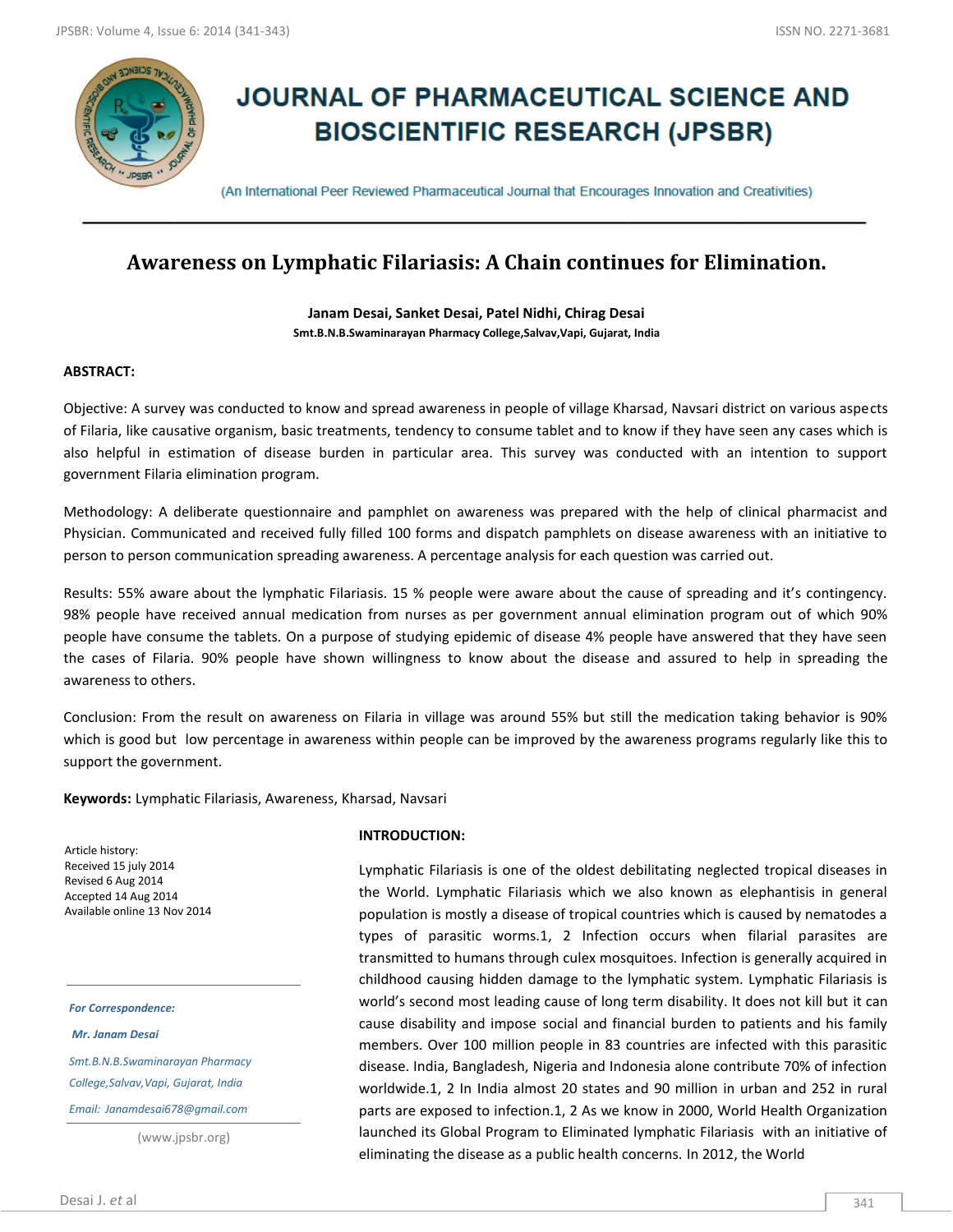

# **JOURNAL OF PHARMACEUTICAL SCIENCE AND BIOSCIENTIFIC RESEARCH (JPSBR)**

(An International Peer Reviewed Pharmaceutical Journal that Encourages Innovation and Creativities)

# **Awareness on Lymphatic Filariasis: A Chain continues for Elimination.**

**Janam Desai, Sanket Desai, Patel Nidhi, Chirag Desai Smt.B.N.B.Swaminarayan Pharmacy College,Salvav,Vapi, Gujarat, India**

## **ABSTRACT:**

Objective: A survey was conducted to know and spread awareness in people of village Kharsad, Navsari district on various aspects of Filaria, like causative organism, basic treatments, tendency to consume tablet and to know if they have seen any cases which is also helpful in estimation of disease burden in particular area. This survey was conducted with an intention to support government Filaria elimination program.

Methodology: A deliberate questionnaire and pamphlet on awareness was prepared with the help of clinical pharmacist and Physician. Communicated and received fully filled 100 forms and dispatch pamphlets on disease awareness with an initiative to person to person communication spreading awareness. A percentage analysis for each question was carried out.

Results: 55% aware about the lymphatic Filariasis. 15 % people were aware about the cause of spreading and it's contingency. 98% people have received annual medication from nurses as per government annual elimination program out of which 90% people have consume the tablets. On a purpose of studying epidemic of disease 4% people have answered that they have seen the cases of Filaria. 90% people have shown willingness to know about the disease and assured to help in spreading the awareness to others.

Conclusion: From the result on awareness on Filaria in village was around 55% but still the medication taking behavior is 90% which is good but low percentage in awareness within people can be improved by the awareness programs regularly like this to support the government.

**Keywords:** Lymphatic Filariasis, Awareness, Kharsad, Navsari

Article history: Received 15 july 2014 Revised 6 Aug 2014 Accepted 14 Aug 2014 Available online 13 Nov 2014

#### *For Correspondence:*

*Mr. Janam Desai*

*Smt.B.N.B.Swaminarayan Pharmacy College,Salvav,Vapi, Gujarat, India*

*Email: Janamdesai678@gmail.com*

(www.jpsbr.org)

#### **INTRODUCTION:**

Lymphatic Filariasis is one of the oldest debilitating neglected tropical diseases in the World. Lymphatic Filariasis which we also known as elephantisis in general population is mostly a disease of tropical countries which is caused by nematodes a types of parasitic worms.1, 2 Infection occurs when filarial parasites are transmitted to humans through culex mosquitoes. Infection is generally acquired in childhood causing hidden damage to the lymphatic system. Lymphatic Filariasis is world's second most leading cause of long term disability. It does not kill but it can cause disability and impose social and financial burden to patients and his family members. Over 100 million people in 83 countries are infected with this parasitic disease. India, Bangladesh, Nigeria and Indonesia alone contribute 70% of infection worldwide.1, 2 In India almost 20 states and 90 million in urban and 252 in rural parts are exposed to infection.1, 2 As we know in 2000, World Health Organization launched its Global Program to Eliminated lymphatic Filariasis with an initiative of eliminating the disease as a public health concerns. In 2012, the World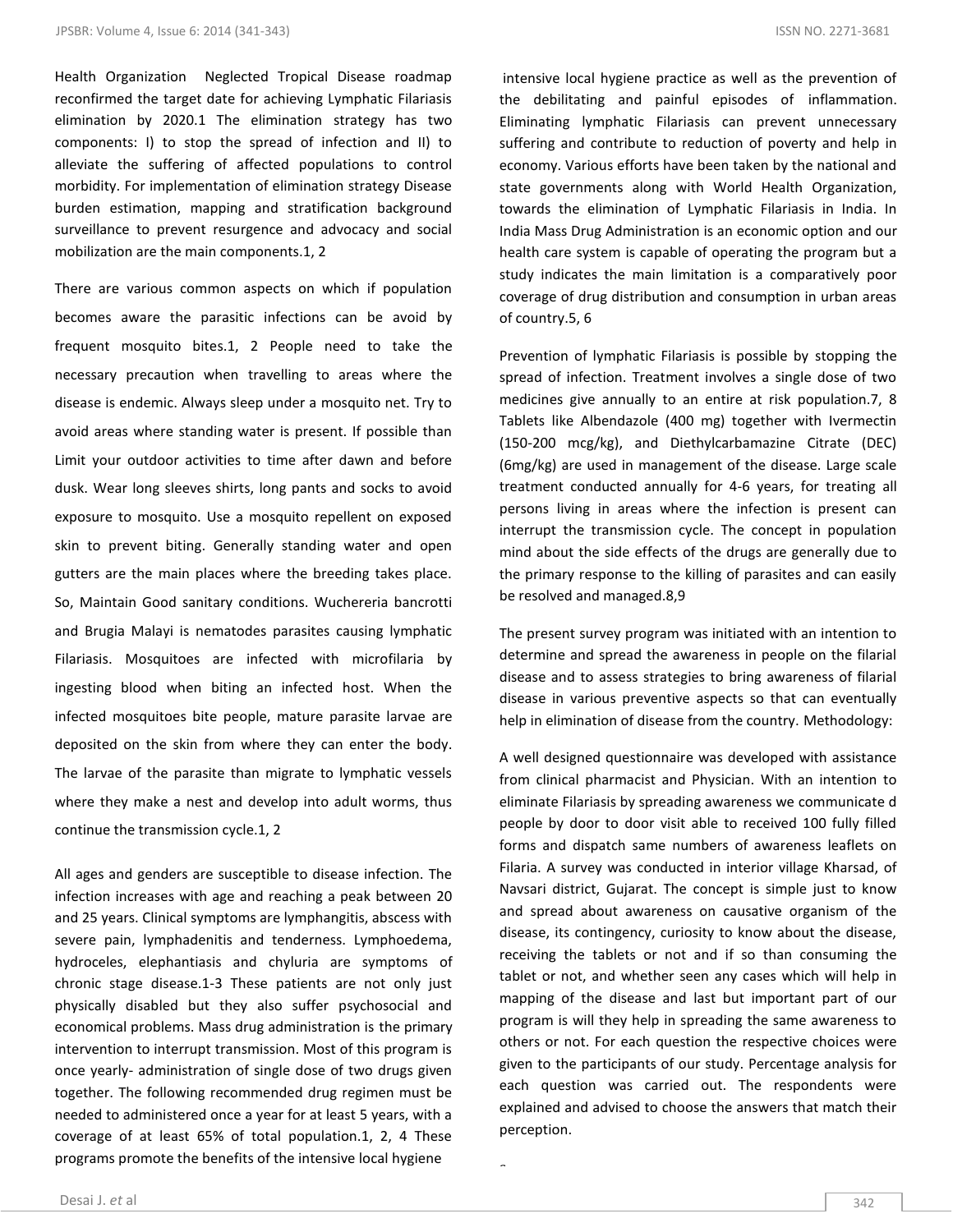Health Organization Neglected Tropical Disease roadmap reconfirmed the target date for achieving Lymphatic Filariasis elimination by 2020.1 The elimination strategy has two components: I) to stop the spread of infection and II) to alleviate the suffering of affected populations to control morbidity. For implementation of elimination strategy Disease burden estimation, mapping and stratification background surveillance to prevent resurgence and advocacy and social mobilization are the main components.1, 2

There are various common aspects on which if population becomes aware the parasitic infections can be avoid by frequent mosquito bites.1, 2 People need to take the necessary precaution when travelling to areas where the disease is endemic. Always sleep under a mosquito net. Try to avoid areas where standing water is present. If possible than Limit your outdoor activities to time after dawn and before dusk. Wear long sleeves shirts, long pants and socks to avoid exposure to mosquito. Use a mosquito repellent on exposed skin to prevent biting. Generally standing water and open gutters are the main places where the breeding takes place. So, Maintain Good sanitary conditions. Wuchereria bancrotti and Brugia Malayi is nematodes parasites causing lymphatic Filariasis. Mosquitoes are infected with microfilaria by ingesting blood when biting an infected host. When the infected mosquitoes bite people, mature parasite larvae are deposited on the skin from where they can enter the body. The larvae of the parasite than migrate to lymphatic vessels where they make a nest and develop into adult worms, thus continue the transmission cycle.1, 2

All ages and genders are susceptible to disease infection. The infection increases with age and reaching a peak between 20 and 25 years. Clinical symptoms are lymphangitis, abscess with severe pain, lymphadenitis and tenderness. Lymphoedema, hydroceles, elephantiasis and chyluria are symptoms of chronic stage disease.1-3 These patients are not only just physically disabled but they also suffer psychosocial and economical problems. Mass drug administration is the primary intervention to interrupt transmission. Most of this program is once yearly- administration of single dose of two drugs given together. The following recommended drug regimen must be needed to administered once a year for at least 5 years, with a coverage of at least 65% of total population.1, 2, 4 These programs promote the benefits of the intensive local hygiene

intensive local hygiene practice as well as the prevention of the debilitating and painful episodes of inflammation. Eliminating lymphatic Filariasis can prevent unnecessary suffering and contribute to reduction of poverty and help in economy. Various efforts have been taken by the national and state governments along with World Health Organization, towards the elimination of Lymphatic Filariasis in India. In India Mass Drug Administration is an economic option and our health care system is capable of operating the program but a study indicates the main limitation is a comparatively poor coverage of drug distribution and consumption in urban areas of country.5, 6

Prevention of lymphatic Filariasis is possible by stopping the spread of infection. Treatment involves a single dose of two medicines give annually to an entire at risk population.7, 8 Tablets like Albendazole (400 mg) together with Ivermectin (150-200 mcg/kg), and Diethylcarbamazine Citrate (DEC) (6mg/kg) are used in management of the disease. Large scale treatment conducted annually for 4-6 years, for treating all persons living in areas where the infection is present can interrupt the transmission cycle. The concept in population mind about the side effects of the drugs are generally due to the primary response to the killing of parasites and can easily be resolved and managed.8,9

The present survey program was initiated with an intention to determine and spread the awareness in people on the filarial disease and to assess strategies to bring awareness of filarial disease in various preventive aspects so that can eventually help in elimination of disease from the country. Methodology:

A well designed questionnaire was developed with assistance from clinical pharmacist and Physician. With an intention to eliminate Filariasis by spreading awareness we communicate d people by door to door visit able to received 100 fully filled forms and dispatch same numbers of awareness leaflets on Filaria. A survey was conducted in interior village Kharsad, of Navsari district, Gujarat. The concept is simple just to know and spread about awareness on causative organism of the disease, its contingency, curiosity to know about the disease, receiving the tablets or not and if so than consuming the tablet or not, and whether seen any cases which will help in mapping of the disease and last but important part of our program is will they help in spreading the same awareness to others or not. For each question the respective choices were given to the participants of our study. Percentage analysis for each question was carried out. The respondents were explained and advised to choose the answers that match their perception.

s